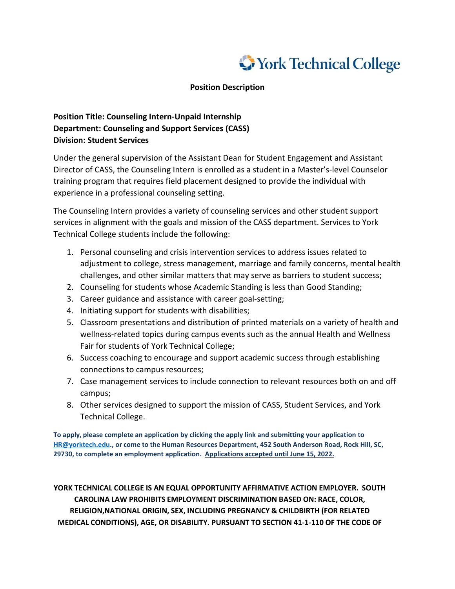

## **Position Description**

## **Position Title: Counseling Intern-Unpaid Internship Department: Counseling and Support Services (CASS) Division: Student Services**

Under the general supervision of the Assistant Dean for Student Engagement and Assistant Director of CASS, the Counseling Intern is enrolled as a student in a Master's-level Counselor training program that requires field placement designed to provide the individual with experience in a professional counseling setting.

The Counseling Intern provides a variety of counseling services and other student support services in alignment with the goals and mission of the CASS department. Services to York Technical College students include the following:

- 1. Personal counseling and crisis intervention services to address issues related to adjustment to college, stress management, marriage and family concerns, mental health challenges, and other similar matters that may serve as barriers to student success;
- 2. Counseling for students whose Academic Standing is less than Good Standing;
- 3. Career guidance and assistance with career goal-setting;
- 4. Initiating support for students with disabilities;
- 5. Classroom presentations and distribution of printed materials on a variety of health and wellness-related topics during campus events such as the annual Health and Wellness Fair for students of York Technical College;
- 6. Success coaching to encourage and support academic success through establishing connections to campus resources;
- 7. Case management services to include connection to relevant resources both on and off campus;
- 8. Other services designed to support the mission of CASS, Student Services, and York Technical College.

**To apply, please complete an application by clicking the apply link and submitting your application to [HR@yorktech.edu.](mailto:HR@yorktech.edu), or come to the Human Resources Department, 452 South Anderson Road, Rock Hill, SC, 29730, to complete an employment application. Applications accepted until June 15, 2022.** 

**YORK TECHNICAL COLLEGE IS AN EQUAL OPPORTUNITY AFFIRMATIVE ACTION EMPLOYER. SOUTH CAROLINA LAW PROHIBITS EMPLOYMENT DISCRIMINATION BASED ON: RACE, COLOR, RELIGION,NATIONAL ORIGIN, SEX, INCLUDING PREGNANCY & CHILDBIRTH (FOR RELATED MEDICAL CONDITIONS), AGE, OR DISABILITY. PURSUANT TO SECTION 41-1-110 OF THE CODE OF**